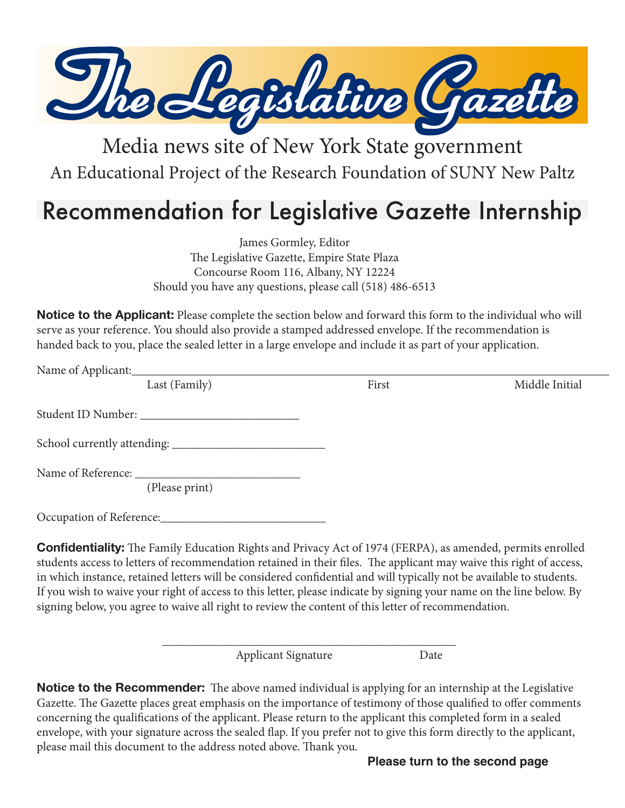

## Media news site of New York State government An Educational Project of the Research Foundation of SUNY New Paltz

## Recommendation for Legislative Gazette Internship

James Gormley, Editor The Legislative Gazette, Empire State Plaza Concourse Room 116, Albany, NY 12224 Should you have any questions, please call (518) 486-6513

**Notice to the Applicant:** Please complete the section below and forward this form to the individual who will serve as your reference. You should also provide a stamped addressed envelope. If the recommendation is handed back to you, place the sealed letter in a large envelope and include it as part of your application.

| Name of Applicant:                   |       |                |
|--------------------------------------|-------|----------------|
| Last (Family)                        | First | Middle Initial |
| Student ID Number:                   |       |                |
|                                      |       |                |
| Name of Reference:<br>(Please print) |       |                |
|                                      |       |                |

**Confidentiality:** The Family Education Rights and Privacy Act of 1974 (FERPA), as amended, permits enrolled students access to letters of recommendation retained in their files. The applicant may waive this right of access, in which instance, retained letters will be considered confidential and will typically not be available to students. If you wish to waive your right of access to this letter, please indicate by signing your name on the line below. By signing below, you agree to waive all right to review the content of this letter of recommendation.

\_\_\_\_\_\_\_\_\_\_\_\_\_\_\_\_\_\_\_\_\_\_\_\_\_\_\_\_\_\_\_\_\_\_\_\_\_\_\_\_\_\_\_\_\_\_\_\_

Applicant Signature Date

**Notice to the Recommender:** The above named individual is applying for an internship at the Legislative Gazette. The Gazette places great emphasis on the importance of testimony of those qualified to offer comments concerning the qualifications of the applicant. Please return to the applicant this completed form in a sealed envelope, with your signature across the sealed flap. If you prefer not to give this form directly to the applicant, please mail this document to the address noted above. Thank you.

**Please turn to the second page**